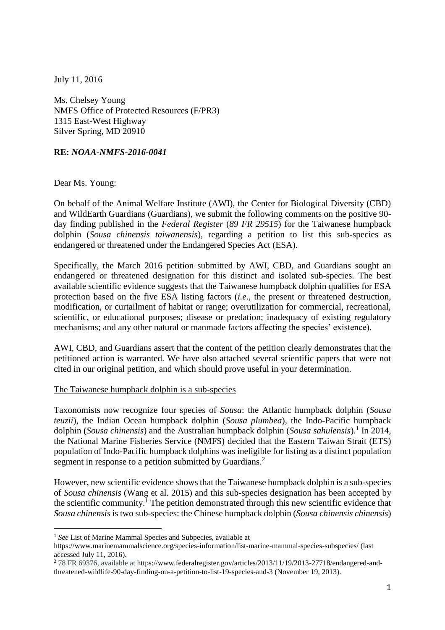July 11, 2016

Ms. Chelsey Young NMFS Office of Protected Resources (F/PR3) 1315 East-West Highway Silver Spring, MD 20910

## **RE:** *NOAA-NMFS-2016-0041*

Dear Ms. Young:

 $\overline{a}$ 

On behalf of the Animal Welfare Institute (AWI), the Center for Biological Diversity (CBD) and WildEarth Guardians (Guardians), we submit the following comments on the positive 90 day finding published in the *Federal Register* (*89 FR 29515*) for the Taiwanese humpback dolphin (*Sousa chinensis taiwanensis*), regarding a petition to list this sub-species as endangered or threatened under the Endangered Species Act (ESA).

Specifically, the March 2016 petition submitted by AWI, CBD, and Guardians sought an endangered or threatened designation for this distinct and isolated sub-species. The best available scientific evidence suggests that the Taiwanese humpback dolphin qualifies for ESA protection based on the five ESA listing factors (*i.e*., the present or threatened destruction, modification, or curtailment of habitat or range; overutilization for commercial, recreational, scientific, or educational purposes; disease or predation; inadequacy of existing regulatory mechanisms; and any other natural or manmade factors affecting the species' existence).

AWI, CBD, and Guardians assert that the content of the petition clearly demonstrates that the petitioned action is warranted. We have also attached several scientific papers that were not cited in our original petition, and which should prove useful in your determination.

#### The Taiwanese humpback dolphin is a sub-species

Taxonomists now recognize four species of *Sousa*: the Atlantic humpback dolphin (*Sousa teuzii*), the Indian Ocean humpback dolphin (*Sousa plumbea*), the Indo-Pacific humpback dolphin (*Sousa chinensis*) and the Australian humpback dolphin (*Sousa sahulensis*). 1 In 2014, the National Marine Fisheries Service (NMFS) decided that the Eastern Taiwan Strait (ETS) population of Indo-Pacific humpback dolphins was ineligible for listing as a distinct population segment in response to a petition submitted by Guardians.<sup>2</sup>

However, new scientific evidence shows that the Taiwanese humpback dolphin is a sub-species of *Sousa chinensis* (Wang et al. 2015) and this sub-species designation has been accepted by the scientific community.<sup>1</sup> The petition demonstrated through this new scientific evidence that *Sousa chinensis* is two sub-species: the Chinese humpback dolphin (*Sousa chinensis chinensis*)

<sup>1</sup> *See* List of Marine Mammal Species and Subpecies, available at

https://www.marinemammalscience.org/species-information/list-marine-mammal-species-subspecies/ (last accessed July 11, 2016).

<sup>2</sup> 78 FR 69376, available at https://www.federalregister.gov/articles/2013/11/19/2013-27718/endangered-andthreatened-wildlife-90-day-finding-on-a-petition-to-list-19-species-and-3 (November 19, 2013).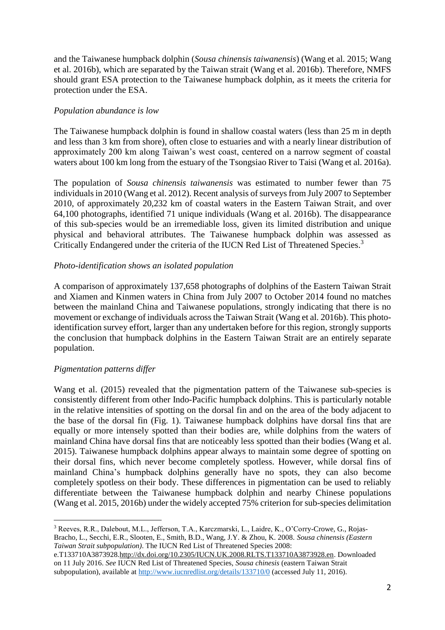and the Taiwanese humpback dolphin (*Sousa chinensis taiwanensis*) (Wang et al. 2015; Wang et al. 2016b), which are separated by the Taiwan strait (Wang et al. 2016b). Therefore, NMFS should grant ESA protection to the Taiwanese humpback dolphin, as it meets the criteria for protection under the ESA.

#### *Population abundance is low*

The Taiwanese humpback dolphin is found in shallow coastal waters (less than 25 m in depth and less than 3 km from shore), often close to estuaries and with a nearly linear distribution of approximately 200 km along Taiwan's west coast, centered on a narrow segment of coastal waters about 100 km long from the estuary of the Tsongsiao River to Taisi (Wang et al. 2016a).

The population of *Sousa chinensis taiwanensis* was estimated to number fewer than 75 individuals in 2010 (Wang et al. 2012). Recent analysis of surveys from July 2007 to September 2010, of approximately 20,232 km of coastal waters in the Eastern Taiwan Strait, and over 64,100 photographs, identified 71 unique individuals (Wang et al. 2016b). The disappearance of this sub-species would be an irremediable loss, given its limited distribution and unique physical and behavioral attributes. The Taiwanese humpback dolphin was assessed as Critically Endangered under the criteria of the IUCN Red List of Threatened Species.<sup>3</sup>

#### *Photo-identification shows an isolated population*

A comparison of approximately 137,658 photographs of dolphins of the Eastern Taiwan Strait and Xiamen and Kinmen waters in China from July 2007 to October 2014 found no matches between the mainland China and Taiwanese populations, strongly indicating that there is no movement or exchange of individuals across the Taiwan Strait (Wang et al. 2016b). This photoidentification survey effort, larger than any undertaken before for this region, strongly supports the conclusion that humpback dolphins in the Eastern Taiwan Strait are an entirely separate population.

# *Pigmentation patterns differ*

Wang et al. (2015) revealed that the pigmentation pattern of the Taiwanese sub-species is consistently different from other Indo-Pacific humpback dolphins. This is particularly notable in the relative intensities of spotting on the dorsal fin and on the area of the body adjacent to the base of the dorsal fin (Fig. 1). Taiwanese humpback dolphins have dorsal fins that are equally or more intensely spotted than their bodies are, while dolphins from the waters of mainland China have dorsal fins that are noticeably less spotted than their bodies (Wang et al. 2015). Taiwanese humpback dolphins appear always to maintain some degree of spotting on their dorsal fins, which never become completely spotless. However, while dorsal fins of mainland China's humpback dolphins generally have no spots, they can also become completely spotless on their body. These differences in pigmentation can be used to reliably differentiate between the Taiwanese humpback dolphin and nearby Chinese populations (Wang et al. 2015, 2016b) under the widely accepted 75% criterion for sub-species delimitation

 $\overline{a}$ <sup>3</sup> Reeves, R.R., Dalebout, M.L., Jefferson, T.A., Karczmarski, L., Laidre, K., O'Corry-Crowe, G., Rojas-Bracho, L., Secchi, E.R., Slooten, E., Smith, B.D., Wang, J.Y. & Zhou, K. 2008. *Sousa chinensis (Eastern Taiwan Strait subpopulation)*. The IUCN Red List of Threatened Species 2008:

e.T133710A3873928[.http://dx.doi.org/10.2305/IUCN.UK.2008.RLTS.T133710A3873928.en.](http://dx.doi.org/10.2305/IUCN.UK.2008.RLTS.T133710A3873928.en) Downloaded on 11 July 2016. *See* IUCN Red List of Threatened Species, *Sousa chinesis* (eastern Taiwan Strait subpopulation), available at<http://www.iucnredlist.org/details/133710/0> (accessed July 11, 2016).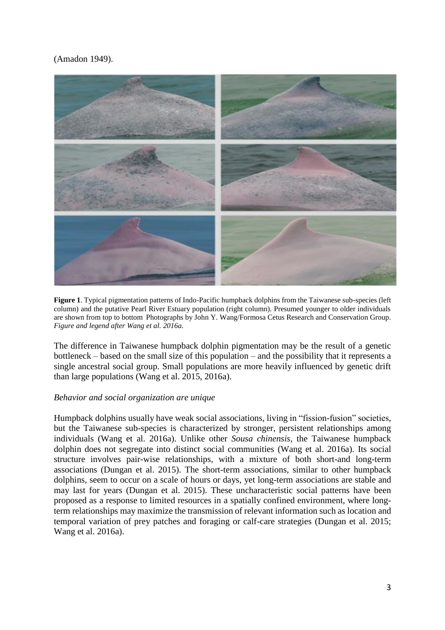# (Amadon 1949).



**Figure 1**. Typical pigmentation patterns of Indo-Pacific humpback dolphins from the Taiwanese sub-species (left column) and the putative Pearl River Estuary population (right column). Presumed younger to older individuals are shown from top to bottom Photographs by John Y. Wang/Formosa Cetus Research and Conservation Group. *Figure and legend after Wang et al. 2016a.*

The difference in Taiwanese humpback dolphin pigmentation may be the result of a genetic bottleneck – based on the small size of this population – and the possibility that it represents a single ancestral social group. Small populations are more heavily influenced by genetic drift than large populations (Wang et al. 2015, 2016a).

#### *Behavior and social organization are unique*

Humpback dolphins usually have weak social associations, living in "fission-fusion" societies, but the Taiwanese sub-species is characterized by stronger, persistent relationships among individuals (Wang et al. 2016a). Unlike other *Sousa chinensis*, the Taiwanese humpback dolphin does not segregate into distinct social communities (Wang et al. 2016a). Its social structure involves pair-wise relationships, with a mixture of both short-and long-term associations (Dungan et al. 2015). The short-term associations, similar to other humpback dolphins, seem to occur on a scale of hours or days, yet long-term associations are stable and may last for years (Dungan et al. 2015). These uncharacteristic social patterns have been proposed as a response to limited resources in a spatially confined environment, where longterm relationships may maximize the transmission of relevant information such as location and temporal variation of prey patches and foraging or calf-care strategies (Dungan et al. 2015; Wang et al. 2016a).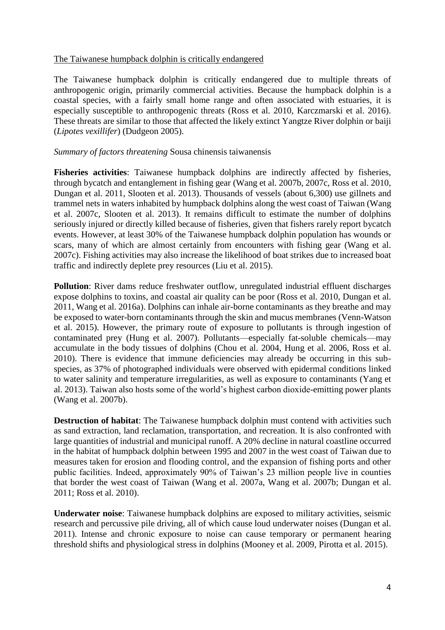#### The Taiwanese humpback dolphin is critically endangered

The Taiwanese humpback dolphin is critically endangered due to multiple threats of anthropogenic origin, primarily commercial activities. Because the humpback dolphin is a coastal species, with a fairly small home range and often associated with estuaries, it is especially susceptible to anthropogenic threats (Ross et al. 2010, Karczmarski et al. 2016). These threats are similar to those that affected the likely extinct Yangtze River dolphin or baiji (*Lipotes vexillifer*) (Dudgeon 2005).

## *Summary of factors threatening* Sousa chinensis taiwanensis

**Fisheries activities**: Taiwanese humpback dolphins are indirectly affected by fisheries, through bycatch and entanglement in fishing gear (Wang et al. 2007b, 2007c, Ross et al. 2010, Dungan et al. 2011, Slooten et al. 2013). Thousands of vessels (about 6,300) use gillnets and trammel nets in waters inhabited by humpback dolphins along the west coast of Taiwan (Wang et al. 2007c, Slooten et al. 2013). It remains difficult to estimate the number of dolphins seriously injured or directly killed because of fisheries, given that fishers rarely report bycatch events. However, at least 30% of the Taiwanese humpback dolphin population has wounds or scars, many of which are almost certainly from encounters with fishing gear (Wang et al. 2007c). Fishing activities may also increase the likelihood of boat strikes due to increased boat traffic and indirectly deplete prey resources (Liu et al. 2015).

**Pollution**: River dams reduce freshwater outflow, unregulated industrial effluent discharges expose dolphins to toxins, and coastal air quality can be poor (Ross et al. 2010, Dungan et al. 2011, Wang et al. 2016a). Dolphins can inhale air-borne contaminants as they breathe and may be exposed to water-born contaminants through the skin and mucus membranes (Venn-Watson et al. 2015). However, the primary route of exposure to pollutants is through ingestion of contaminated prey (Hung et al. 2007). Pollutants—especially fat-soluble chemicals—may accumulate in the body tissues of dolphins (Chou et al. 2004, Hung et al. 2006, Ross et al. 2010). There is evidence that immune deficiencies may already be occurring in this subspecies, as 37% of photographed individuals were observed with epidermal conditions linked to water salinity and temperature irregularities, as well as exposure to contaminants (Yang et al. 2013). Taiwan also hosts some of the world's highest carbon dioxide-emitting power plants (Wang et al. 2007b).

**Destruction of habitat**: The Taiwanese humpback dolphin must contend with activities such as sand extraction, land reclamation, transportation, and recreation. It is also confronted with large quantities of industrial and municipal runoff. A 20% decline in natural coastline occurred in the habitat of humpback dolphin between 1995 and 2007 in the west coast of Taiwan due to measures taken for erosion and flooding control, and the expansion of fishing ports and other public facilities. Indeed, approximately 90% of Taiwan's 23 million people live in counties that border the west coast of Taiwan (Wang et al. 2007a, Wang et al. 2007b; Dungan et al. 2011; Ross et al. 2010).

**Underwater noise**: Taiwanese humpback dolphins are exposed to military activities, seismic research and percussive pile driving, all of which cause loud underwater noises (Dungan et al. 2011). Intense and chronic exposure to noise can cause temporary or permanent hearing threshold shifts and physiological stress in dolphins (Mooney et al. 2009, Pirotta et al. 2015).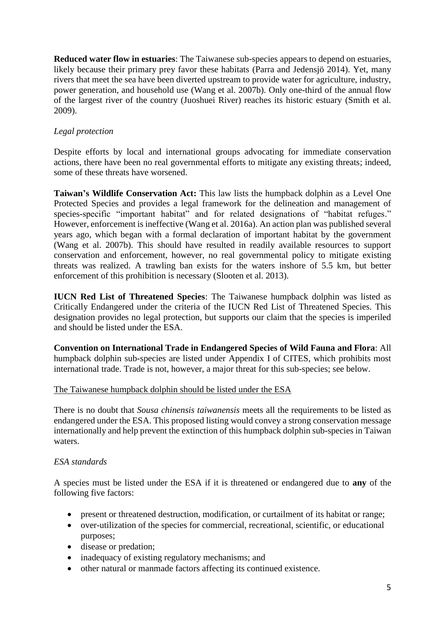**Reduced water flow in estuaries**: The Taiwanese sub-species appears to depend on estuaries, likely because their primary prey favor these habitats (Parra and Jedensjö 2014). Yet, many rivers that meet the sea have been diverted upstream to provide water for agriculture, industry, power generation, and household use (Wang et al. 2007b). Only one-third of the annual flow of the largest river of the country (Juoshuei River) reaches its historic estuary (Smith et al. 2009).

# *Legal protection*

Despite efforts by local and international groups advocating for immediate conservation actions, there have been no real governmental efforts to mitigate any existing threats; indeed, some of these threats have worsened.

**Taiwan's Wildlife Conservation Act:** This law lists the humpback dolphin as a Level One Protected Species and provides a legal framework for the delineation and management of species-specific "important habitat" and for related designations of "habitat refuges." However, enforcement is ineffective (Wang et al. 2016a). An action plan was published several years ago, which began with a formal declaration of important habitat by the government (Wang et al. 2007b). This should have resulted in readily available resources to support conservation and enforcement, however, no real governmental policy to mitigate existing threats was realized. A trawling ban exists for the waters inshore of 5.5 km, but better enforcement of this prohibition is necessary (Slooten et al. 2013).

**IUCN Red List of Threatened Species**: The Taiwanese humpback dolphin was listed as Critically Endangered under the criteria of the IUCN Red List of Threatened Species. This designation provides no legal protection, but supports our claim that the species is imperiled and should be listed under the ESA.

**Convention on International Trade in Endangered Species of Wild Fauna and Flora**: All humpback dolphin sub-species are listed under Appendix I of CITES, which prohibits most international trade. Trade is not, however, a major threat for this sub-species; see below.

# The Taiwanese humpback dolphin should be listed under the ESA

There is no doubt that *Sousa chinensis taiwanensis* meets all the requirements to be listed as endangered under the ESA. This proposed listing would convey a strong conservation message internationally and help prevent the extinction of this humpback dolphin sub-species in Taiwan waters.

# *ESA standards*

A species must be listed under the ESA if it is threatened or endangered due to **any** of the following five factors:

- present or threatened destruction, modification, or curtailment of its habitat or range;
- over-utilization of the species for commercial, recreational, scientific, or educational purposes;
- disease or predation;
- inadequacy of existing regulatory mechanisms; and
- other natural or manmade factors affecting its continued existence.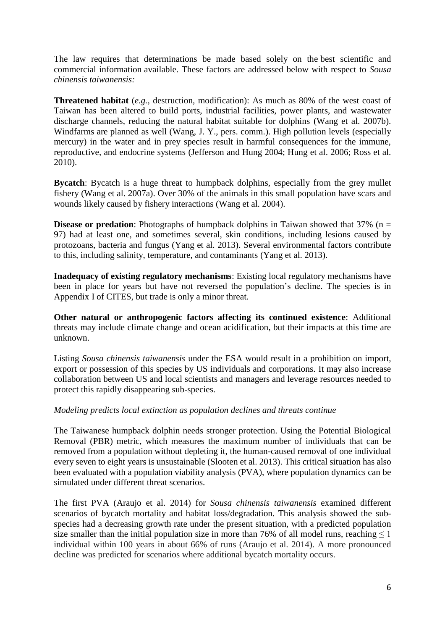The law requires that determinations be made based solely on the best scientific and commercial information available. These factors are addressed below with respect to *Sousa chinensis taiwanensis:*

**Threatened habitat** (*e.g.,* destruction, modification): As much as 80% of the west coast of Taiwan has been altered to build ports, industrial facilities, power plants, and wastewater discharge channels, reducing the natural habitat suitable for dolphins (Wang et al. 2007b). Windfarms are planned as well (Wang, J. Y., pers. comm.). High pollution levels (especially mercury) in the water and in prey species result in harmful consequences for the immune, reproductive, and endocrine systems (Jefferson and Hung 2004; Hung et al. 2006; Ross et al. 2010).

**Bycatch**: Bycatch is a huge threat to humpback dolphins, especially from the grey mullet fishery (Wang et al. 2007a). Over 30% of the animals in this small population have scars and wounds likely caused by fishery interactions (Wang et al. 2004).

**Disease or predation**: Photographs of humpback dolphins in Taiwan showed that  $37\%$  (n = 97) had at least one, and sometimes several, skin conditions, including lesions caused by protozoans, bacteria and fungus (Yang et al. 2013). Several environmental factors contribute to this, including salinity, temperature, and contaminants (Yang et al. 2013).

**Inadequacy of existing regulatory mechanisms**: Existing local regulatory mechanisms have been in place for years but have not reversed the population's decline. The species is in Appendix I of CITES, but trade is only a minor threat.

**Other natural or anthropogenic factors affecting its continued existence**: Additional threats may include climate change and ocean acidification, but their impacts at this time are unknown.

Listing *Sousa chinensis taiwanensis* under the ESA would result in a prohibition on import, export or possession of this species by US individuals and corporations. It may also increase collaboration between US and local scientists and managers and leverage resources needed to protect this rapidly disappearing sub-species.

# *Modeling predicts local extinction as population declines and threats continue*

The Taiwanese humpback dolphin needs stronger protection. Using the Potential Biological Removal (PBR) metric, which measures the maximum number of individuals that can be removed from a population without depleting it, the human-caused removal of one individual every seven to eight years is unsustainable (Slooten et al. 2013). This critical situation has also been evaluated with a population viability analysis (PVA), where population dynamics can be simulated under different threat scenarios.

The first PVA (Araujo et al. 2014) for *Sousa chinensis taiwanensis* examined different scenarios of bycatch mortality and habitat loss/degradation. This analysis showed the subspecies had a decreasing growth rate under the present situation, with a predicted population size smaller than the initial population size in more than 76% of all model runs, reaching  $\leq 1$ individual within 100 years in about 66% of runs (Araujo et al. 2014). A more pronounced decline was predicted for scenarios where additional bycatch mortality occurs.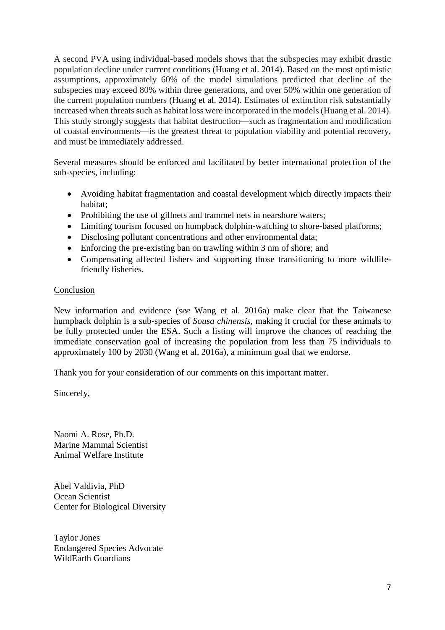A second PVA using individual-based models shows that the subspecies may exhibit drastic population decline under current conditions (Huang et al. 2014). Based on the most optimistic assumptions, approximately 60% of the model simulations predicted that decline of the subspecies may exceed 80% within three generations, and over 50% within one generation of the current population numbers (Huang et al. 2014). Estimates of extinction risk substantially increased when threats such as habitat loss were incorporated in the models (Huang et al. 2014). This study strongly suggests that habitat destruction—such as fragmentation and modification of coastal environments—is the greatest threat to population viability and potential recovery, and must be immediately addressed.

Several measures should be enforced and facilitated by better international protection of the sub-species, including:

- Avoiding habitat fragmentation and coastal development which directly impacts their habitat;
- Prohibiting the use of gillnets and trammel nets in nearshore waters;
- Limiting tourism focused on humpback dolphin-watching to shore-based platforms;
- Disclosing pollutant concentrations and other environmental data;
- Enforcing the pre-existing ban on trawling within 3 nm of shore; and
- Compensating affected fishers and supporting those transitioning to more wildlifefriendly fisheries.

#### Conclusion

New information and evidence (*see* Wang et al. 2016a) make clear that the Taiwanese humpback dolphin is a sub-species of *Sousa chinensis*, making it crucial for these animals to be fully protected under the ESA. Such a listing will improve the chances of reaching the immediate conservation goal of increasing the population from less than 75 individuals to approximately 100 by 2030 (Wang et al. 2016a), a minimum goal that we endorse.

Thank you for your consideration of our comments on this important matter.

Sincerely,

Naomi A. Rose, Ph.D. Marine Mammal Scientist Animal Welfare Institute

Abel Valdivia, PhD Ocean Scientist Center for Biological Diversity

Taylor Jones Endangered Species Advocate WildEarth Guardians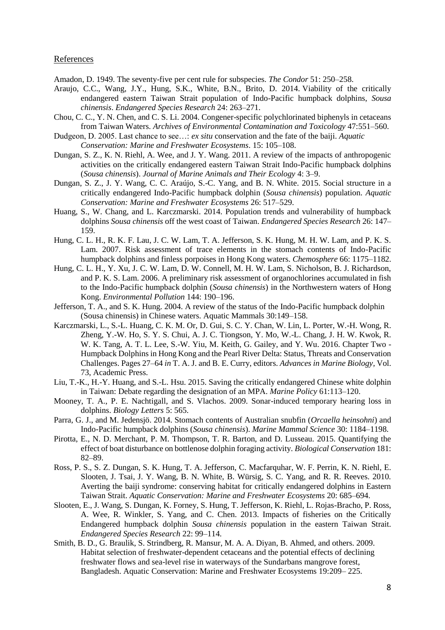#### References

Amadon, D. 1949. The seventy-five per cent rule for subspecies. *The Condor* 51: 250–258.

- Araujo, C.C., Wang, J.Y., Hung, S.K., White, B.N., Brito, D. 2014. Viability of the critically endangered eastern Taiwan Strait population of Indo-Pacific humpback dolphins, *Sousa chinensis*. *Endangered Species Research* 24: 263–271.
- Chou, C. C., Y. N. Chen, and C. S. Li. 2004. Congener-specific polychlorinated biphenyls in cetaceans from Taiwan Waters. *Archives of Environmental Contamination and Toxicology* 47:551–560.
- Dudgeon, D. 2005. Last chance to see…: *ex situ* conservation and the fate of the baiji. *Aquatic Conservation: Marine and Freshwater Ecosystems*. 15: 105–108.
- Dungan, S. Z., K. N. Riehl, A. Wee, and J. Y. Wang. 2011. A review of the impacts of anthropogenic activities on the critically endangered eastern Taiwan Strait Indo-Pacific humpback dolphins (*Sousa chinensis*). *Journal of Marine Animals and Their Ecology* 4: 3–9.
- Dungan, S. Z., J. Y. Wang, C. C. Araújo, S.-C. Yang, and B. N. White. 2015. Social structure in a critically endangered Indo-Pacific humpback dolphin (*Sousa chinensis*) population. *Aquatic Conservation: Marine and Freshwater Ecosystems* 26: 517–529.
- Huang, S., W. Chang, and L. Karczmarski. 2014. Population trends and vulnerability of humpback dolphins *Sousa chinensis* off the west coast of Taiwan. *Endangered Species Research* 26: 147– 159.
- Hung, C. L. H., R. K. F. Lau, J. C. W. Lam, T. A. Jefferson, S. K. Hung, M. H. W. Lam, and P. K. S. Lam. 2007. Risk assessment of trace elements in the stomach contents of Indo-Pacific humpback dolphins and finless porpoises in Hong Kong waters. *Chemosphere* 66: 1175–1182.
- Hung, C. L. H., Y. Xu, J. C. W. Lam, D. W. Connell, M. H. W. Lam, S. Nicholson, B. J. Richardson, and P. K. S. Lam. 2006. A preliminary risk assessment of organochlorines accumulated in fish to the Indo-Pacific humpback dolphin (*Sousa chinensis*) in the Northwestern waters of Hong Kong. *Environmental Pollution* 144: 190–196.
- Jefferson, T. A., and S. K. Hung. 2004. A review of the status of the Indo-Pacific humpback dolphin (Sousa chinensis) in Chinese waters. Aquatic Mammals 30:149–158.
- Karczmarski, L., S.-L. Huang, C. K. M. Or, D. Gui, S. C. Y. Chan, W. Lin, L. Porter, W.-H. Wong, R. Zheng, Y.-W. Ho, S. Y. S. Chui, A. J. C. Tiongson, Y. Mo, W.-L. Chang, J. H. W. Kwok, R. W. K. Tang, A. T. L. Lee, S.-W. Yiu, M. Keith, G. Gailey, and Y. Wu. 2016. Chapter Two - Humpback Dolphins in Hong Kong and the Pearl River Delta: Status, Threats and Conservation Challenges. Pages 27–64 *in* T. A. J. and B. E. Curry, editors. *Advances in Marine Biology,* Vol. 73, Academic Press.
- Liu, T.-K., H.-Y. Huang, and S.-L. Hsu. 2015. Saving the critically endangered Chinese white dolphin in Taiwan: Debate regarding the designation of an MPA. *Marine Policy* 61:113–120.
- Mooney, T. A., P. E. Nachtigall, and S. Vlachos. 2009. Sonar-induced temporary hearing loss in dolphins. *Biology Letters* 5: 565.
- Parra, G. J., and M. Jedensjö. 2014. Stomach contents of Australian snubfin (*Orcaella heinsohni*) and Indo-Pacific humpback dolphins (*Sousa chinensis*). *Marine Mammal Science* 30: 1184–1198.
- Pirotta, E., N. D. Merchant, P. M. Thompson, T. R. Barton, and D. Lusseau. 2015. Quantifying the effect of boat disturbance on bottlenose dolphin foraging activity. *Biological Conservation* 181: 82–89.
- Ross, P. S., S. Z. Dungan, S. K. Hung, T. A. Jefferson, C. Macfarquhar, W. F. Perrin, K. N. Riehl, E. Slooten, J. Tsai, J. Y. Wang, B. N. White, B. Würsig, S. C. Yang, and R. R. Reeves. 2010. Averting the baiji syndrome: conserving habitat for critically endangered dolphins in Eastern Taiwan Strait. *Aquatic Conservation: Marine and Freshwater Ecosystems* 20: 685–694.
- Slooten, E., J. Wang, S. Dungan, K. Forney, S. Hung, T. Jefferson, K. Riehl, L. Rojas-Bracho, P. Ross, A. Wee, R. Winkler, S. Yang, and C. Chen. 2013. Impacts of fisheries on the Critically Endangered humpback dolphin *Sousa chinensis* population in the eastern Taiwan Strait. *Endangered Species Research* 22: 99–114.
- Smith, B. D., G. Braulik, S. Strindberg, R. Mansur, M. A. A. Diyan, B. Ahmed, and others. 2009. Habitat selection of freshwater-dependent cetaceans and the potential effects of declining freshwater flows and sea-level rise in waterways of the Sundarbans mangrove forest, Bangladesh. Aquatic Conservation: Marine and Freshwater Ecosystems 19:209– 225.